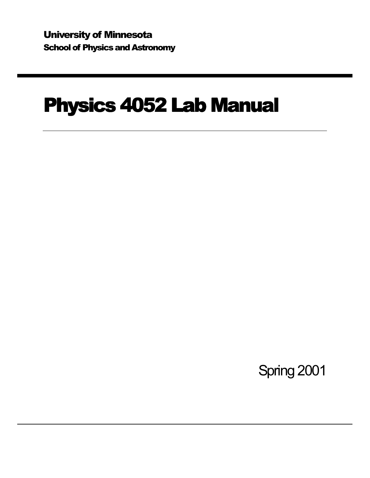University of Minnesota School of Physics and Astronomy

# Physics 4052 Lab Manual

Spring 2001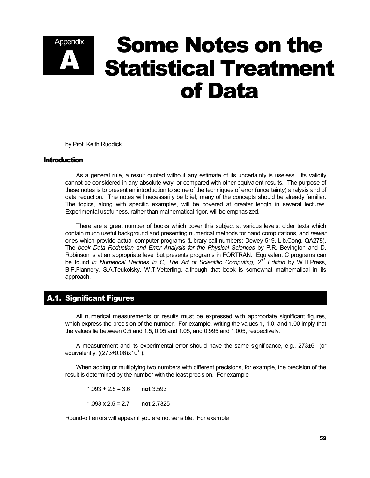# Appendix **Some Notes on the<br>A Statistical Treatment** Statistical Treatment of Data

by Prof. Keith Ruddick

#### Introduction

 As a general rule, a result quoted without any estimate of its uncertainty is useless. Its validity cannot be considered in any absolute way, or compared with other equivalent results. The purpose of these notes is to present an introduction to some of the techniques of error (uncertainty) analysis and of data reduction. The notes will necessarily be brief; many of the concepts should be already familiar. The topics, along with specific examples, will be covered at greater length in several lectures. Experimental usefulness, rather than mathematical rigor, will be emphasized.

 There are a great number of books which cover this subject at various levels: older texts which contain much useful background and presenting numerical methods for hand computations, and *newer* ones which provide actual computer programs (Library call numbers: Dewey 519, Lib.Cong. QA278). The *book Data Reduction and Error Analysis for the Physical Sciences* by P.R. Bevington and D. Robinson is at an appropriate level but presents programs in FORTRAN. Equivalent C programs can be found *in Numerical Recipes in C, The Art of Scientific Computing, 2<sup>nd</sup> Edition by W.H.Press,* B.P.Flannery, S.A.Teukolsky, W.T.Vetterling, although that book is somewhat mathematical in its approach.

# A.1. Significant Figures

 All numerical measurements or results must be expressed with appropriate significant figures, which express the precision of the number. For example, writing the values 1, 1.0, and 1.00 imply that the values lie between 0.5 and 1.5, 0.95 and 1.05, and 0.995 and 1.005, respectively.

A measurement and its experimental error should have the same significance, e.g.,  $273\pm6$  (or equivalently, ((273 $\pm$ 0.06) $\times$ 10<sup>3</sup>).

 When adding or multiplying two numbers with different precisions, for example, the precision of the result is determined by the number with the least precision. For example

 1.093 + 2.5 = 3.6 **not** 3.593 1.093 x 2.5 = 2.7 **not** 2.7325

Round-off errors will appear if you are not sensible. For example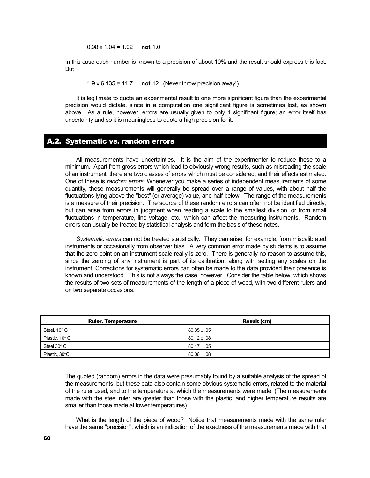0.98 x 1.04 = 1.02 **not** 1.0

In this case each number is known to a precision of about 10% and the result should express this fact. But

1.9 x 6.135 = 11.7 **not** 12 (Never throw precision away!)

 It is legitimate to quote an experimental result to one more significant figure than the experimental precision would dictate, since in a computation one significant figure is sometimes lost, as shown above. As a rule, however, errors are usually given to only 1 significant figure; an error itself has uncertainty and so it is meaningless to quote a high precision for it.

# A.2. Systematic vs. random errors

 All measurements have uncertainties. It is the aim of the experimenter to reduce these to a minimum. Apart from gross errors which lead to obviously wrong results, such as misreading the scale of an instrument, there are two classes of errors which must be considered, and their effects estimated. One of these is *random errors*: Whenever you make a series of independent measurements of some quantity, these measurements will generally be spread over a range of values, with about half the fluctuations lying above the "best" (or average) value, and half below. The range of the measurements is a measure of their precision. The source of these random errors can often not be identified directly, but can arise from errors in judgment when reading a scale to the smallest division, or from small fluctuations in temperature, line voltage, etc., which can affect the measuring instruments. Random errors can usually be treated by statistical analysis and form the basis of these notes.

*Systematic errors* can not be treated statistically. They can arise, for example, from miscalibrated instruments or occasionally from observer bias. A very common error made by students is to assume that the zero-point on an instrument scale really is zero. There is generally no reason to assume this, since the zeroing of any instrument is part of its calibration, along with setting any scales on the instrument. Corrections for systematic errors can often be made to the data provided their presence is known and understood. This is not always the case, however. Consider the table below, which shows the results of two sets of measurements of the length of a piece of wood, with two different rulers and on two separate occasions:

| <b>Ruler, Temperature</b> | Result (cm)     |
|---------------------------|-----------------|
| Steel, $10^{\circ}$ C     | $80.35 \pm .05$ |
| Plastic, 10° C            | $80.12 \pm .08$ |
| Steel 30 $^{\circ}$ C     | $80.17 \pm .05$ |
| Plastic, 30°C             | $80.06 \pm .08$ |

The quoted (random) errors in the data were presumably found by a suitable analysis of the spread of the measurements, but these data also contain some obvious systematic errors, related to the material of the ruler used, and to the temperature at which the measurements were made. (The measurements made with the steel ruler are greater than those with the plastic, and higher temperature results are smaller than those made at lower temperatures).

 What is the length of the piece of wood? Notice that measurements made with the same ruler have the same "precision", which is an indication of the exactness of the measurements made with that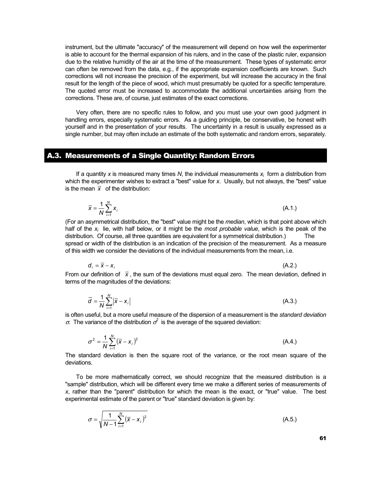instrument, but the ultimate "accuracy" of the measurement will depend on how well the experimenter is able to account for the thermal expansion of his rulers, and in the case of the plastic ruler, expansion due to the relative humidity of the air at the time of the measurement. These types of systematic error can often be removed from the data, e.g., if the appropriate expansion coefficients are known. Such corrections will not increase the precision of the experiment, but will increase the accuracy in the final result for the length of the piece of wood, which must presumably be quoted for a specific temperature. The quoted error must be increased to accommodate the additional uncertainties arising from the corrections. These are, of course, just estimates of the exact corrections.

 Very often, there are no specific rules to follow, and you must use your own good judgment in handling errors, especially systematic errors. As a guiding principle, be conservative, be honest with yourself and in the presentation of your results. The uncertainty in a result is usually expressed as a single number, but may often include an estimate of the both systematic and random errors, separately.

# A.3. Measurements of a Single Quantity: Random Errors

*N*

If a quantity  $x$  is measured many times  $N$ , the individual measurements  $x_i$  form a distribution from which the experimenter wishes to extract a "best" value for *x*. Usually, but not always, the "best" value is the mean  $\bar{x}$  of the distribution:

$$
\overline{x} = \frac{1}{N} \sum_{i=1}^{N} x_i
$$
\n(A.1.)

\nconstrained distribution, the "host" value might be the median, which is that point of the number of elements.

(For an asymmetrical distribution, the "best" value might be the *median*, which is that point above which half of the *xi* lie, with half below, or it might be the *most probable value*, which is the peak of the distribution. Of course, all three quantities are equivalent for a symmetrical distribution.) The spread or width of the distribution is an indication of the precision of the measurement. As a measure of this width we consider the deviations of the individual measurements from the mean, i.e.

$$
d_i = \overline{x} - x_i \tag{A.2.}
$$

From our definition of  $\bar{x}$ , the sum of the deviations must equal zero. The mean deviation, defined in terms of the magnitudes of the deviations:

$$
\overline{d} = \frac{1}{N} \sum_{i=1}^{N} |\overline{x} - x_i|
$$
 (A.3.)

is often useful, but a more useful measure of the dispersion of a measurement is the *standard deviation* σ. The variance of the distribution  $σ²$  is the average of the squared deviation:

$$
\sigma^2 = \frac{1}{N} \sum_{i=1}^{N} (\bar{x} - x_i)^2
$$
 (A.4.)

The standard deviation is then the square root of the variance, or the root mean square of the deviations.

 To be more mathematically correct, we should recognize that the measured distribution is a "sample" distribution, which will be different every time we make a different series of measurements of *x*, rather than the "parent" distribution for which the mean is the exact, or "true" value. The best experimental estimate of the parent or "true" standard deviation is given by:

$$
\sigma = \sqrt{\frac{1}{N-1} \sum_{i=1}^{N} (\bar{x} - x_i)^2}
$$
 (A.5.)

61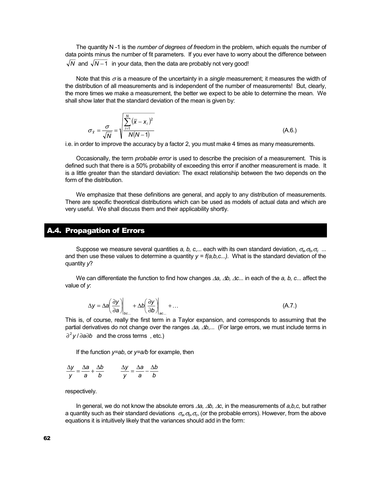The quantity N -1 is the *number of degrees of freedom* in the problem, which equals the number of data points minus the number of fit parameters. If you ever have to worry about the difference between  $\sqrt{N}$  and  $\sqrt{N-1}$  in your data, then the data are probably not very good!

Note that this  $\sigma$  is a measure of the uncertainty in a *single* measurement; it measures the width of the distribution of all measurements and is independent of the number of measurements! But, clearly, the more times we make a measurement, the better we expect to be able to determine the mean. We shall show later that the standard deviation of the mean is given by:

$$
\sigma_{\overline{x}} = \frac{\sigma}{\sqrt{N}} = \sqrt{\sum_{i=1}^{N} (\overline{x} - x_i)^2}
$$
\n(A.6.)

i.e. in order to improve the accuracy by a factor 2, you must make 4 times as many measurements.

 Occasionally, the term *probable error* is used to describe the precision of a measurement. This is defined such that there is a 50% probability of exceeding this error if another measurement is made. It is a little greater than the standard deviation: The exact relationship between the two depends on the form of the distribution.

 We emphasize that these definitions are general, and apply to any distribution of measurements. There are specific theoretical distributions which can be used as models of actual data and which are very useful. We shall discuss them and their applicability shortly.

# A.4. Propagation of Errors

 Suppose we measure several quantities *a, b, c*,... each with its own standard deviation, σ*a,*σ*b,*<sup>σ</sup>*c* ... and then use these values to determine a quantity  $y = f(a,b,c...)$ . What is the standard deviation of the quantity *y*?

We can differentiate the function to find how changes ∆*a, ∆b, ∆c*... in each of the *a, b, c*... affect the value of *y*:

$$
\Delta y = \Delta a \left( \frac{\partial y}{\partial a} \right) \Big|_{bc...} + \Delta b \left( \frac{\partial y}{\partial b} \right) \Big|_{ac...} + ... \tag{A.7.}
$$

This is, of course, really the first term in a Taylor expansion, and corresponds to assuming that the partial derivatives do not change over the ranges ∆*a,* ∆*b*,... (For large errors, we must include terms in ∂<sup>2</sup> y / ∂a∂*b* and the cross terms, etc.)

If the function *y=ab*, or *y=a/b* for example, then

$$
\frac{\Delta y}{y} = \frac{\Delta a}{a} + \frac{\Delta b}{b} \qquad \frac{\Delta y}{y} = \frac{\Delta a}{a} - \frac{\Delta b}{b}
$$

respectively.

 In general, we do not know the absolute errors ∆*a,* ∆*b,* ∆*c*, in the measurements of *a,b,c,* but rather a quantity such as their standard deviations σ*a,*σ*b,*<sup>σ</sup>*c*, (or the probable errors). However, from the above equations it is intuitively likely that the variances should add in the form: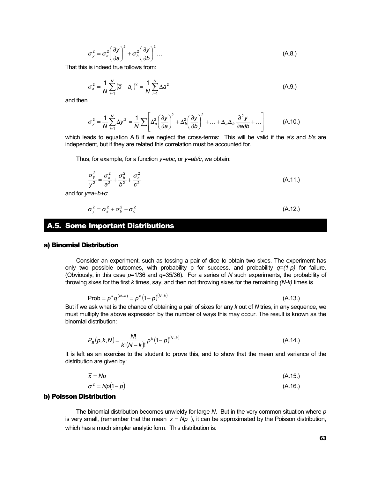$$
\sigma_y^2 = \sigma_a^2 \left(\frac{\partial y}{\partial a}\right)^2 + \sigma_b^2 \left(\frac{\partial y}{\partial b}\right)^2 \dots
$$
 (A.8.)

That this is indeed true follows from:

$$
\sigma_a^2 = \frac{1}{N} \sum_{i=1}^N (\overline{a} - a_i)^2 = \frac{1}{N} \sum_{i=1}^N \Delta a^2
$$
 (A.9.)

and then

$$
\sigma_y^2 = \frac{1}{N} \sum_{i=1}^N \Delta y^2 = \frac{1}{N} \sum \left[ \Delta_a^2 \left( \frac{\partial y}{\partial a} \right)^2 + \Delta_b^2 \left( \frac{\partial y}{\partial b} \right)^2 + \ldots + \Delta_a \Delta_b \frac{\partial^2 y}{\partial a \partial b} + \ldots \right]
$$
(A.10.)

which leads to equation A.8 if we neglect the cross-terms: This will be valid if the *a's* and *b's* are independent, but if they are related this correlation must be accounted for.

Thus, for example, for a function *y=abc*, or *y=ab/c*, we obtain:

$$
\frac{\sigma_y^2}{y^2} = \frac{\sigma_a^2}{a^2} + \frac{\sigma_b^2}{b^2} + \frac{\sigma_c^2}{c^2}
$$
 (A.11.)

and for *y=a+b+c*:

$$
\sigma_y^2 = \sigma_a^2 + \sigma_b^2 + \sigma_c^2 \tag{A.12.}
$$

#### A.5. Some Important Distributions

#### a) Binomial Distribution

 Consider an experiment, such as tossing a pair of dice to obtain two sixes. The experiment has only two possible outcomes, with probability p for success, and probability  $q=(1-p)$  for failure. (Obviously, in this case *p*=1/36 and *q*=35/36). For a series of *N* such experiments, the probability of throwing sixes for the first *k* times, say, and then not throwing sixes for the remaining *(N-k)* times is

$$
Prob = p^{k} q^{(N-k)} = p^{k} (1-p)^{(N-k)}
$$
 (A.13.)

But if we ask what is the chance of obtaining a pair of sixes for any *k* out of *N* tries, in any sequence, we must multiply the above expression by the number of ways this may occur. The result is known as the binomial distribution:

$$
P_B(p,k,N) = \frac{N!}{k!(N-k)!} p^{k} (1-p)^{(N-k)}
$$
 (A.14.)

It is left as an exercise to the student to prove this, and to show that the mean and variance of the distribution are given by:

$$
\overline{x} = Np \tag{A.15.}
$$

$$
\sigma^2 = Np(1-p) \tag{A.16.}
$$

#### b) Poisson Distribution

 The binomial distribution becomes unwieldy for large *N*. But in the very common situation where *p* is very small, (remember that the mean  $\bar{x} = Np$ ), it can be approximated by the Poisson distribution, which has a much simpler analytic form. This distribution is: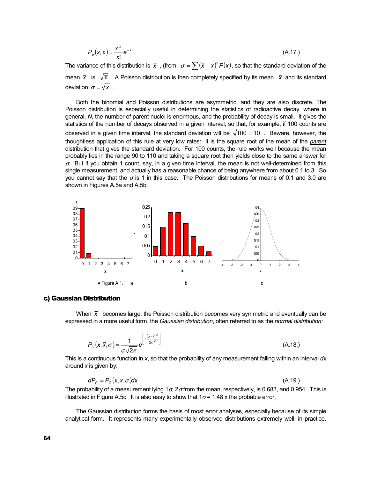$$
P_p(x,\overline{x}) = \frac{\overline{x}^x}{x!} e^{-\overline{x}}
$$
 (A.17.)

The variance of this distribution is  $\bar{x}$ , (from  $\sigma = \sum (\bar{x} - x)^2 P(x)$ , so that the standard deviation of the mean  $\bar{x}$  is  $\sqrt{\bar{x}}$ . A Poisson distribution is then completely specified by its mean  $\bar{x}$  and its standard deviation  $\sigma = \sqrt{\overline{x}}$ .

 Both the binomial and Poisson distributions are asymmetric, and they are also discrete. The Poisson distribution is especially useful in determining the statistics of radioactive decay, where in general, *N*, the number of parent nuclei is enormous, and the probability of decay is small. It gives the statistics of the number of decays observed in a given interval, so that, for example, if 100 counts are observed in a given time interval, the standard deviation will be  $\sqrt{100} = 10$ . Beware, however, the thoughtless application of this rule at very low rates: it is the square root of the mean of the *parent* distribution that gives the standard deviation. For 100 counts, the rule works well because the mean probably lies in the range 90 to 110 and taking a square root then yields close to the same answer for  $\sigma$ . But if you obtain 1 count, say, in a given time interval, the mean is not well-determined from this single measurement, and actually has a reasonable chance of being anywhere from about 0.1 to 3. So you cannot say that the  $\sigma$  is 1 in this case. The Poisson distributions for means of 0.1 and 3.0 are shown in Figures A.5a and A.5b.



#### c) Gaussian Distribution

When  $\bar{x}$  becomes large, the Poisson distribution becomes very symmetric and eventually can be expressed in a more useful form, the *Gaussian distribution*, often referred to as the *normal distribution:*

$$
P_G(x,\overline{x},\sigma) = \frac{1}{\sigma\sqrt{2\pi}}e^{\left[\frac{(\overline{x}-x)^2}{2\sigma^2}\right]}
$$
(A.18.)

This is a continuous function in *x*, so that the probability of any measurement falling within an interval *dx* around *x* is given by:

$$
dP_G = P_G(x, \overline{x}, \sigma)dx\tag{A.19.}
$$

The probability of a measurement lying  $1\sigma$ ,  $2\sigma$  from the mean, respectively, is 0.683, and 0.954. This is illustrated in Figure A.5c. It is also easy to show that  $1\sigma$  = 1.48 x the probable error.

 The Gaussian distribution forms the basis of most error analyses, especially because of its simple analytical form. It represents many experimentally observed distributions extremely well; in practice,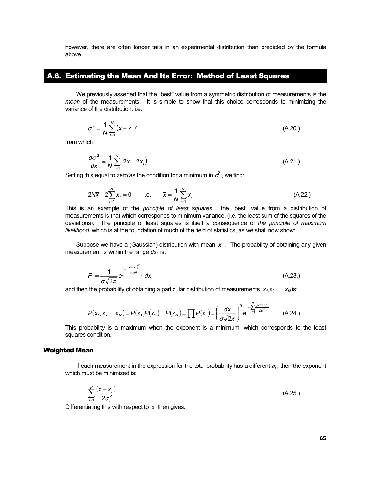however, there are often longer tails in an experimental distribution than predicted by the formula above.

# A.6. Estimating the Mean And Its Error: Method of Least Squares

 We previously asserted that the "best" value from a symmetric distribution of measurements is the *mean* of the measurements. It is simple to show that this choice corresponds to minimizing the variance of the distribution. i.e.:

$$
\sigma^2 = \frac{1}{N} \sum_{i=1}^{N} (\bar{x} - x_i)^2
$$
 (A.20.)

from which

$$
\frac{d\sigma^2}{d\overline{x}} = \frac{1}{N} \sum_{i=1}^{N} (2\overline{x} - 2x_i)
$$
 (A.21.)

Setting this equal to zero as the condition for a minimum in  $\sigma^2$  , we find:

$$
2N\overline{x} - 2\sum_{i=1}^{N} x_i = 0 \qquad \text{i.e.} \qquad \overline{x} = \frac{1}{N} \sum_{i=1}^{N} x_i \tag{A.22.}
$$

This is an example of the *principle of least squares*: the "best" value from a distribution of measurements is that which corresponds to minimum variance, (i.e. the least sum of the squares of the deviations). The principle of least squares is itself a consequence of *the principle of maximum likelihood*, which is at the foundation of much of the field of statistics, as we shall now show:

Suppose we have a (Gaussian) distribution with mean  $\bar{x}$ . The probability of obtaining any given measurement x<sub>i</sub> within the range dx<sub>i</sub> is:

$$
P_i = \frac{1}{\sigma \sqrt{2\pi}} e^{\left[-\frac{(\overline{x} - x_i)^2}{2\sigma^2}\right]} dx_i
$$
 (A.23.)

and then the probability of obtaining a particular distribution of measurements  $x_1, x_2, \ldots x_N$  is:

$$
P(x_1, x_2... x_N) = P(x_1)P(x_2)...P(x_N) = \prod P(x_i) = \left(\frac{dx}{\sigma\sqrt{2\pi}}\right)^N e^{\left[-\sum_{i=1}^N \frac{(\bar{x}-x_i)^2}{2\sigma^2}\right]}
$$
(A.24.)

This probability is a maximum when the exponent is a minimum, which corresponds to the least squares condition.

#### Weighted Mean

If each measurement in the expression for the total probability has a different  $\sigma_i$ , then the exponent which must be minimized is:

$$
\sum_{i=1}^{N} \frac{(\overline{x} - x_i)^2}{2\sigma_i^2}
$$
 (A.25.)

Differentiating this with respect to  $\bar{x}$  then gives: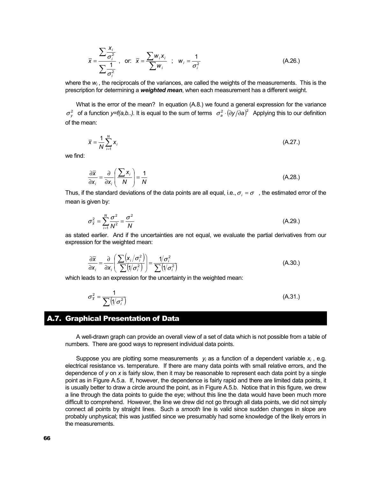$$
\overline{x} = \frac{\sum \frac{x_i}{\sigma_i^2}}{\sum \frac{1}{\sigma_i^2}}, \quad \text{or:} \quad \overline{x} = \frac{\sum w_i x_i}{\sum w_i} \quad ; \quad w_i = \frac{1}{\sigma_i^2}
$$
\n(A.26.)

where the  $w_i$ , the reciprocals of the variances, are called the weights of the measurements. This is the prescription for determining a *weighted mean*, when each measurement has a different weight.

What is the error of the mean? In equation (A.8.) we found a general expression for the variance  $\sigma_v^2$  of a function *y=f(a,b..)*. It is equal to the sum of terms  $\sigma_a^2 \cdot (\partial y / \partial a)^2$  Applying this to our definition of the mean:

$$
\overline{x} = \frac{1}{N} \sum_{i=1}^{N} x_i
$$
 (A.27.)

we find:

*i x*

$$
\frac{\partial \overline{x}}{\partial x_i} = \frac{\partial}{\partial x_i} \left( \frac{\sum x_i}{N} \right) = \frac{1}{N}
$$
 (A.28.)

Thus, if the standard deviations of the data points are all equal, i.e.,  $\sigma_i = \sigma$ , the estimated error of the mean is given by:

$$
\sigma_{\overline{x}}^2 = \sum_{i=1}^N \frac{\sigma^2}{N^2} = \frac{\sigma^2}{N}
$$
 (A.29.)

as stated earlier. And if the uncertainties are not equal, we evaluate the partial derivatives from our expression for the weighted mean:

$$
\frac{\partial \overline{x}}{\partial x_i} = \frac{\partial}{\partial x_i} \left( \frac{\sum (x_i / \sigma_i^2)}{\sum (1 / \sigma_i^2)} \right) = \frac{1 / \sigma_i^2}{\sum (1 / \sigma_i^2)}
$$
(A.30.)

which leads to an expression for the uncertainty in the weighted mean:

$$
\sigma_{\bar{x}}^2 = \frac{1}{\sum (\sqrt{\sigma_i^2})}
$$
 (A.31.)

# A.7. Graphical Presentation of Data

 A well-drawn graph can provide an overall view of a set of data which is not possible from a table of numbers. There are good ways to represent individual data points.

Suppose you are plotting some measurements  $y_i$  as a function of a dependent variable  $x_i$ , e.g. electrical resistance vs. temperature. If there are many data points with small relative errors, and the dependence of *y* on *x* is fairly slow, then it may be reasonable to represent each data point by a single point as in Figure A.5.a. If, however, the dependence is fairly rapid and there are limited data points, it is usually better to draw a circle around the point, as in Figure A.5.b. Notice that in this figure, we drew a line through the data points to guide the eye; without this line the data would have been much more difficult to comprehend. However, the line we drew did not go through all data points, we did not simply connect all points by straight lines. Such a *smooth* line is valid since sudden changes in slope are probably unphysical; this was justified since we presumably had some knowledge of the likely errors in the measurements.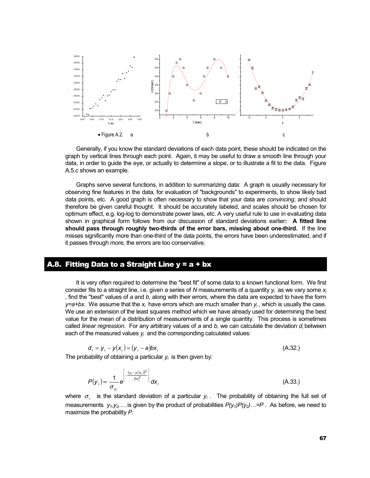

 Generally, if you know the standard deviations of each data point, these should be indicated on the graph by vertical lines through each point. Again, it may be useful to draw a smooth line through your data, in order to guide the eye, or actually to determine a slope, or to illustrate a fit to the data. Figure A.5.c shows an example.

 Graphs serve several functions, in addition to summarizing data: A graph is usually necessary for observing fine features in the data, for evaluation of "backgrounds" to experiments, to show likely bad data points, etc. A good graph is often necessary to show that your data are *convincing*, and should therefore be given careful thought. It should be accurately labeled, and scales should be chosen for optimum effect, e.g. log-log to demonstrate power laws, etc. A very useful rule to use in evaluating data shown in graphical form follows from our discussion of standard deviations earlier**: A fitted line should pass through roughly two-thirds of the error bars, missing about one-third.** If the line misses significantly more than one-third of the data points, the errors have been underestimated, and if it passes through more, the errors are too conservative.

#### A.8. Fitting Data to a Straight Line y = a + bx

 It is very often required to determine the "best fit" of some data to a known functional form. We first consider fits to a straight line, i.e. given a series of *N* measurements of a quantity *yi* as we vary some *xi ,* find the "best" values of *a* and *b*, along with their errors, where the data are expected to have the form *y*=a+bx. We assume that the  $x_i$  have errors which are much smaller than  $y_i$ , which is usually the case. We use an extension of the least squares method which we have already used for determining the best value for the mean of a distribution of measurements of a single quantity. This process is sometimes called *linear regression*. For any arbitrary values of *a* and *b*, we can calculate the deviation *di* between each of the measured values  $y_i$  and the corresponding calculated values:

$$
\mathbf{d}_i = \mathbf{y}_i - \mathbf{y}(\mathbf{x}_i) = (\mathbf{y}_i - \mathbf{a})\mathbf{b}\mathbf{x}_i
$$
\n(A.32.)

The probability of obtaining a particular  $y_i$  is then given by:

$$
P(y_i) \propto \frac{1}{\sigma_{y_i}} e^{\left[-\frac{(y_i - y(x_i))^2}{2\sigma_i^2}\right]} dx_i
$$
 (A.33.)

where  $\sigma_i$  is the standard deviation of a particular  $y_i$ . The probability of obtaining the full set of measurements  $y_1, y_2, ...$  is given by the product of probabilities  $P(y_1)P(y_2)$ ...=P. As before, we need to maximize the probability *P*.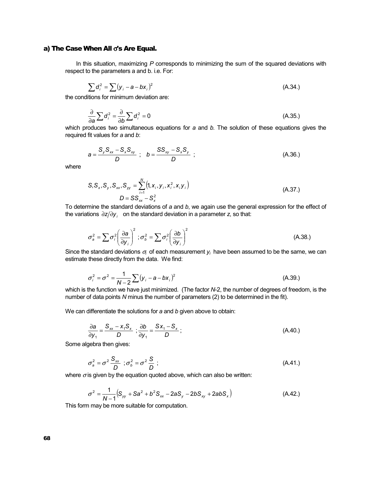#### a) The Case When All σ's Are Equal.

 In this situation, maximizing *P* corresponds to minimizing the sum of the squared deviations with respect to the parameters a and b. i.e. For:

$$
\sum d_i^2 = \sum (y_i - a - bx_i)^2
$$
 (A.34.)

the conditions for minimum deviation are:

$$
\frac{\partial}{\partial a} \sum d_i^2 = \frac{\partial}{\partial b} \sum d_i^2 = 0
$$
 (A.35.)

which produces two simultaneous equations for *a* and *b.* The solution of these equations gives the required fit values for *a* and *b*:

$$
a = \frac{S_y S_{xx} - S_x S_{xy}}{D} \; ; \quad b = \frac{SS_{xy} - S_x S_y}{D} \; ; \tag{A.36.}
$$

where

$$
S, S_x, S_y, S_{xx}, S_{yy} = \sum_{i=1}^{N} (1, x_i, y_i, x_i^2, x_i y_i)
$$
  

$$
D = SS_{xx} - S_x^2
$$
 (A.37.)

To determine the standard deviations of *a* and *b*, we again use the general expression for the effect of the variations  $\partial z/\partial y_i$  on the standard deviation in a parameter *z*, so that:

$$
\sigma_a^2 = \sum \sigma_i^2 \left(\frac{\partial \mathbf{a}}{\partial y_i}\right)^2; \sigma_b^2 = \sum \sigma_i^2 \left(\frac{\partial \mathbf{b}}{\partial y_i}\right)^2
$$
 (A.38.)

Since the standard deviations  $\sigma_i$  of each measurement  $y_i$  have been assumed to be the same, we can estimate these directly from the data. We find:

$$
\sigma_i^2 = \sigma^2 = \frac{1}{N-2} \sum (y_i - a - bx_i)^2
$$
 (A.39.)

which is the function we have just minimized. (The factor *N*-2, the number of degrees of freedom, is the number of data points *N* minus the number of parameters (2) to be determined in the fit).

We can differentiate the solutions for *a* and *b* given above to obtain:

$$
\frac{\partial a}{\partial y_1} = \frac{S_{xx} - x_1 S_x}{D}; \frac{\partial b}{\partial y_1} = \frac{S x_1 - S_x}{D};
$$
 (A.40.)

Some algebra then gives:

$$
\sigma_a^2 = \sigma^2 \frac{S_{xx}}{D} \; ; \sigma_b^2 = \sigma^2 \frac{S}{D} \; ; \tag{A.41.}
$$

where  $\sigma$  is given by the equation quoted above, which can also be written:

$$
\sigma^2 = \frac{1}{N-1} (S_{yy} + Sa^2 + b^2 S_{xx} - 2aS_y - 2bS_{xy} + 2abS_x)
$$
 (A.42.)

This form may be more suitable for computation.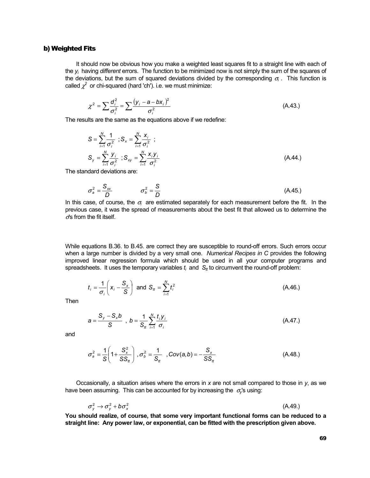# b) Weighted Fits

 It should now be obvious how you make a weighted least squares fit to a straight line with each of the *yi* having *different* errors. The function to be minimized now is not simply the sum of the squares of the deviations, but the sum of squared deviations divided by the corresponding  $\sigma_i$ . This function is called  $\chi^2$  or chi-squared (hard 'ch'). i.e. we must minimize:

$$
\chi^2 = \sum \frac{d_i^2}{\sigma_i^2} = \sum \frac{(y_i - a - bx_i)^2}{\sigma_i^2}
$$
 (A.43.)

The results are the same as the equations above if we redefine:

$$
S = \sum_{i=1}^{N} \frac{1}{\sigma_i^2} ; S_x = \sum_{i=1}^{N} \frac{x_i}{\sigma_i^2} ;
$$
  
\n
$$
S_y = \sum_{i=1}^{N} \frac{y_i}{\sigma_i^2} ; S_{xy} = \sum_{i=1}^{N} \frac{x_i y_i}{\sigma_i^2}
$$
 (A.44.)

The standard deviations are:

$$
\sigma_a^2 = \frac{S_{xx}}{D} \qquad \qquad \sigma_b^2 = \frac{S}{D} \qquad (A.45.)
$$

In this case, of course, the  $\sigma_i$  are estimated separately for each measurement before the fit. In the previous case, it was the spread of measurements about the best fit that allowed us to determine the <sup>σ</sup>'s from the fit itself.

While equations B.36. to B.45. are correct they are susceptible to round-off errors. Such errors occur when a large number is divided by a very small one. *Numerical Recipes in C* provides the following improved linear regression formula which should be used in all your computer programs and spreadsheets. It uses the temporary variables  $t_i$  and  $S_t$  to circumvent the round-off problem:

$$
t_i = \frac{1}{\sigma_i} \left( x_i - \frac{S_x}{S} \right) \text{ and } S_{tt} = \sum_{i=1}^N t_i^2
$$
 (A.46.)

Then

$$
a = \frac{S_{y} - S_{x}b}{S} , b = \frac{1}{S_{tt}} \sum_{i=1}^{N} \frac{t_{i}y_{i}}{\sigma_{i}}
$$
 (A.47.)

and

$$
\sigma_a^2 = \frac{1}{S} \left( 1 + \frac{S_x^2}{SS_{tt}} \right), \sigma_b^2 = \frac{1}{S_{tt}} \quad , \text{Cov}(a, b) = -\frac{S_x}{SS_{tt}} \tag{A.48.}
$$

 Occasionally, a situation arises where the errors in *x* are not small compared to those in *y*, as we have been assuming. This can be accounted for by increasing the  $\sigma_{v}$ 's using:

$$
\sigma_y^2 \to \sigma_y^2 + b \sigma_x^2 \tag{A.49.}
$$

**You should realize, of course, that some very important functional forms can be reduced to a straight line: Any power law, or exponential, can be fitted with the prescription given above.**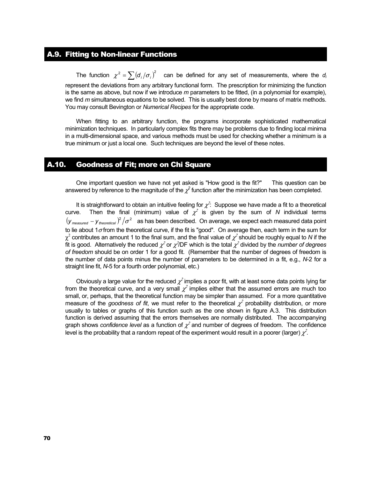# A.9. Fitting to Non-linear Functions

The function  $\chi^2 = \sum (d_i / \sigma_i)^2$  can be defined for any set of measurements, where the *d<sub>i</sub>* represent the deviations from any arbitrary functional form. The prescription for minimizing the function is the same as above, but now if we introduce *m* parameters to be fitted, (in a polynomial for example), we find *m* simultaneous equations to be solved. This is usually best done by means of matrix methods. You may consult Bevington or *Numerical Recipes* for the appropriate code.

 When fitting to an arbitrary function, the programs incorporate sophisticated mathematical minimization techniques. In particularly complex fits there may be problems due to finding local minima in a multi-dimensional space, and various methods must be used for checking whether a minimum is a true minimum or just a local one. Such techniques are beyond the level of these notes.

# A.10. Goodness of Fit; more on Chi Square

 One important question we have not yet asked is "How good is the fit?" This question can be answered by reference to the magnitude of the  $\chi^2$  function after the minimization has been completed.

It is straightforward to obtain an intuitive feeling for  $\chi^2$ : Suppose we have made a fit to a theoretical curve. Then the final (minimum) value of  $\chi^2$  is given by the sum of *N* individual terms  $(y_{measured} - y_{theoretical})^2/\sigma^2$  as has been described. On average, we expect each measured data point to lie about 1 $\sigma$  from the theoretical curve, if the fit is "good". On average then, each term in the sum for  $\chi^2$  contributes an amount 1 to the final sum, and the final value of  $\chi^2$  should be roughly equal to N if the fit is good. Alternatively the reduced  $\chi^2$  or  $\chi^2$ /DF which is the total  $\chi^2$  divided by the *number of degrees of freedom* should be on order 1 for a good fit. (Remember that the number of degrees of freedom is the number of data points minus the number of parameters to be determined in a fit, e.g., *N*-2 for a straight line fit, *N*-5 for a fourth order polynomial, etc.)

Obviously a large value for the reduced  $\chi^2$  implies a poor fit, with at least some data points lying far from the theoretical curve, and a very small  $\chi^2$  implies either that the assumed errors are much too small, or, perhaps, that the theoretical function may be simpler than assumed. For a more quantitative measure of the *goodness of fit*, we must refer to the theoretical  $\chi^2$  probability distribution, or more usually to tables or graphs of this function such as the one shown in figure A.3. This distribution function is derived assuming that the errors themselves are normally distributed. The accompanying graph shows *confidence level* as a function of  $\chi^2$  and number of degrees of freedom. The confidence level is the probability that a random repeat of the experiment would result in a poorer (larger)  $\chi^2$ .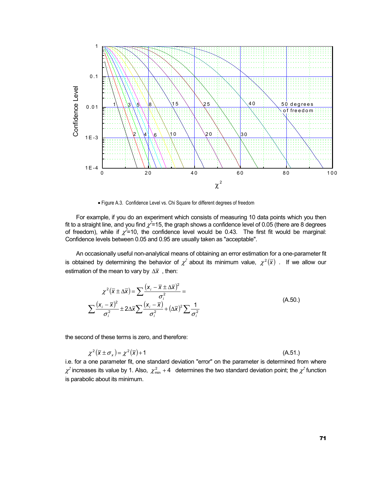

• Figure A.3. Confidence Level vs. Chi Square for different degrees of freedom

 For example, if you do an experiment which consists of measuring 10 data points which you then fit to a straight line, and you find  $\chi^2$ =15, the graph shows a confidence level of 0.05 (there are 8 degrees of freedom), while if  $\chi^2$ =10, the confidence level would be 0.43. The first fit would be marginal: Confidence levels between 0.05 and 0.95 are usually taken as "acceptable".

 An occasionally useful non-analytical means of obtaining an error estimation for a one-parameter fit is obtained by determining the behavior of  $\chi^2$  about its minimum value,  $\chi^2(\overline{x})$  . If we allow our estimation of the mean to vary by ∆*x* , then:

$$
\chi^2(\overline{x} \pm \Delta \overline{x}) = \sum \frac{(x_i - \overline{x} \pm \Delta \overline{x})^2}{\sigma_i^2} =
$$
\n
$$
\sum \frac{(x_i - \overline{x})^2}{\sigma_i^2} \pm 2\Delta \overline{x} \sum \frac{(x_i - \overline{x})}{\sigma_i^2} + (\Delta \overline{x})^2 \sum \frac{1}{\sigma_i^2}
$$
\n(A.50.)

the second of these terms is zero, and therefore:

$$
\chi^2(\overline{x} \pm \sigma_x) = \chi^2(\overline{x}) + 1 \tag{A.51.}
$$

i.e. for a one parameter fit, one standard deviation "error" on the parameter is determined from where  $\chi^2$  increases its value by 1. Also,  $\chi^2_{\rm min}$  +4 determines the two standard deviation point; the  $\chi^2$  function is parabolic about its minimum.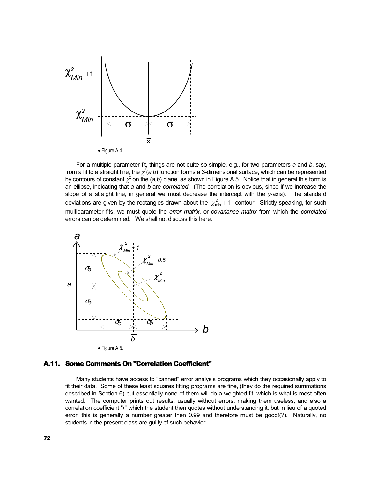

 For a multiple parameter fit, things are not quite so simple, e.g., for two parameters *a* and *b*, say, from a fit to a straight line, the  $\chi^2$ (a,b) function forms a 3-dimensional surface, which can be represented by contours of constant  $\chi^2$  on the (*a,b*) plane, as shown in Figure A.5. Notice that in general this form is an ellipse, indicating that *a* and *b* are *correlated*. (The correlation is obvious, since if we increase the slope of a straight line, in general we must decrease the intercept with the *y*-axis). The standard deviations are given by the rectangles drawn about the  $\chi^2_{\text{min}}$  +1 contour. Strictly speaking, for such multiparameter fits, we must quote the *error matrix*, or *covariance matrix* from which the *correlated* errors can be determined. We shall not discuss this here.



#### A.11. Some Comments On "Correlation Coefficient"

 Many students have access to "canned" error analysis programs which they occasionally apply to fit their data. Some of these least squares fitting programs are fine, (they do the required summations described in Section 6) but essentially none of them will do a weighted fit, which is what is most often wanted. The computer prints out results, usually without errors, making them useless, and also a correlation coefficient "*r*" which the student then quotes without understanding it, but in lieu of a quoted error; this is generally a number greater then 0.99 and therefore must be good!(?). Naturally, no students in the present class are guilty of such behavior.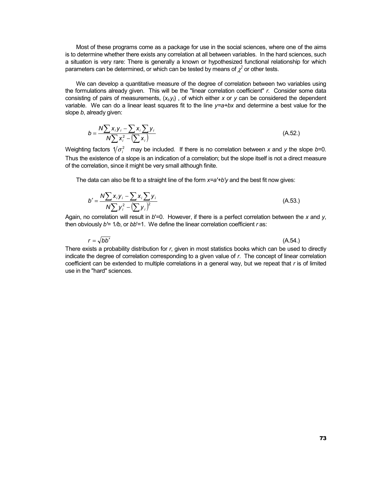Most of these programs come as a package for use in the social sciences, where one of the aims is to determine whether there exists any correlation at all between variables. In the hard sciences, such a situation is very rare: There is generally a known or hypothesized functional relationship for which parameters can be determined, or which can be tested by means of  $\chi^2$  or other tests.

 We can develop a quantitative measure of the degree of correlation between two variables using the formulations already given. This will be the "linear correlation coefficient" *r*. Consider some data consisting of pairs of measurements,  $(x_i, y_i)$ , of which either x or y can be considered the dependent variable. We can do a linear least squares fit to the line *y=a+bx* and determine a best value for the slope *b*, already given:

$$
b = \frac{N \sum x_i y_i - \sum x_i \sum y_i}{N \sum x_i^2 - (\sum x_i)}
$$
 (A.52.)

Weighting factors  $1/\sigma_i^2$  may be included. If there is no correlation between *x* and *y* the slope *b*=0. Thus the existence of a slope is an indication of a correlation; but the slope itself is not a direct measure of the correlation, since it might be very small although finite.

The data can also be fit to a straight line of the form *x=a'+b'y* and the best fit now gives:

$$
b' = \frac{N \sum x_i y_i - \sum x_i \sum y_i}{N \sum y_i^2 - (\sum y_i)^2}
$$
 (A.53.)

Again, no correlation will result in *b*'=0. However, if there is a perfect correlation between the *x* and *y*, then obviously *b'*= 1*/b*, or *bb*'=1. We define the linear correlation coefficient *r* as:

$$
r = \sqrt{bb'} \tag{A.54.}
$$

There exists a probability distribution for *r*, given in most statistics books which can be used to directly indicate the degree of correlation corresponding to a given value of *r*. The concept of linear correlation coefficient can be extended to multiple correlations in a general way, but we repeat that *r* is of limited use in the "hard" sciences.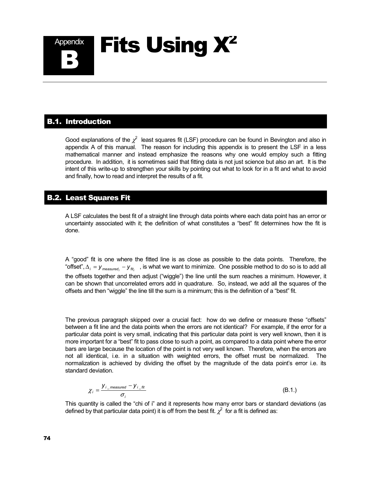

# B.1. Introduction

Good explanations of the  $\chi^2$  least squares fit (LSF) procedure can be found in Bevington and also in appendix A of this manual. The reason for including this appendix is to present the LSF in a less mathematical manner and instead emphasize the reasons why one would employ such a fitting procedure. In addition, it is sometimes said that fitting data is not just science but also an art. It is the intent of this write-up to strengthen your skills by pointing out what to look for in a fit and what to avoid and finally, how to read and interpret the results of a fit.

# B.2. Least Squares Fit

A LSF calculates the best fit of a straight line through data points where each data point has an error or uncertainty associated with it; the definition of what constitutes a "best" fit determines how the fit is done.

A "good" fit is one where the fitted line is as close as possible to the data points. Therefore, the "offset",  $\Delta_i$  =  $y$ <sub>measured;</sub> −  $y$ <sub>fiti</sub>, is what we want to minimize. One possible method to do so is to add all the offsets together and then adjust ("wiggle") the line until the sum reaches a minimum. However, it can be shown that uncorrelated errors add in quadrature. So, instead, we add all the squares of the offsets and then "wiggle" the line till the sum is a minimum; this is the definition of a "best" fit.

The previous paragraph skipped over a crucial fact: how do we define or measure these "offsets" between a fit line and the data points when the errors are not identical? For example, if the error for a particular data point is very small, indicating that this particular data point is very well known, then it is more important for a "best" fit to pass close to such a point, as compared to a data point where the error bars are large because the location of the point is not very well known. Therefore, when the errors are not all identical, i.e. in a situation with weighted errors, the offset must be normalized. The normalization is achieved by dividing the offset by the magnitude of the data point's error i.e. its standard deviation.

$$
\chi_i = \frac{y_{i\_measured} - y_{i\_fit}}{\sigma_i}
$$
 (B.1.)

This quantity is called the "chi of i" and it represents how many error bars or standard deviations (as defined by that particular data point) it is off from the best fit.  $\chi^2$  for a fit is defined as: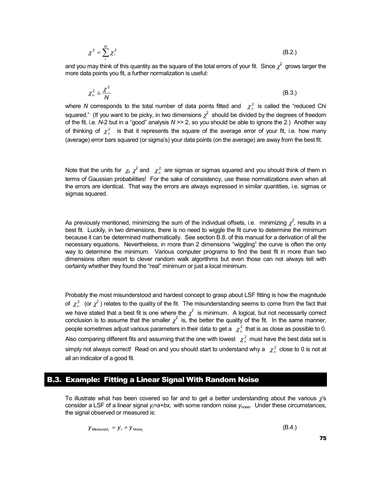$$
\chi^2 = \sum_{i}^{N} \chi_i^2
$$
 (B.2.)

and you may think of this quantity as the square of the total errors of your fit. Since  $\chi^2$  grows larger the more data points you fit, a further normalization is useful:

$$
\chi^2_v \cong \frac{\chi^2}{N} \tag{B.3.}
$$

where *N* corresponds to the total number of data points fitted and  $\chi^2$  is called the "reduced Chi squared." (If you want to be picky, in two dimensions  $\chi^2$  should be divided by the degrees of freedom of the fit, i.e. *N*-2 but in a "good" analysis *N* >> 2, so you should be able to ignore the 2.) Another way of thinking of  $\chi^2$  is that it represents the square of the average error of your fit, i.e. how many (average) error bars squared (or sigma's) your data points (on the average) are away from the best fit.

Note that the units for  $\chi_i$   $\chi^2$  and  $\chi^2_v$  are sigmas or sigmas squared and you should think of them in terms of Gaussian probabilities! For the sake of consistency, use these normalizations even when all the errors are identical. That way the errors are always expressed in similar quantities, i.e. sigmas or sigmas squared.

As previously mentioned, minimizing the sum of the individual offsets, i.e. minimizing  $\chi^2$ , results in a best fit. Luckily, in two dimensions, there is no need to wiggle the fit curve to determine the minimum because it can be determined mathematically. See section B.8. of this manual for a derivation of all the necessary equations. Nevertheless, in more than 2 dimensions "wiggling" the curve is often the only way to determine the minimum. Various computer programs to find the best fit in more than two dimensions often resort to clever random walk algorithms but even those can not always tell with certainty whether they found the "real" minimum or just a local minimum.

Probably the most misunderstood and hardest concept to grasp about LSF fitting is how the magnitude of  $\chi^2_v$  (or  $\chi^2$ ) relates to the quality of the fit. The misunderstanding seems to come from the fact that we have stated that a best fit is one where the  $\chi^2$  is minimum. A logical, but not necessarily correct conclusion is to assume that the smaller  $\chi^2$  is, the better the quality of the fit. In the same manner, people sometimes adjust various parameters in their data to get a  $\chi^2$  that is as close as possible to 0. Also comparing different fits and assuming that the one with lowest  $\chi^2_\nu$  must have the best data set is simply not always correct! Read on and you should start to understand why a  $\chi^2_v$  close to 0 is not at all an indicator of a good fit.

# B.3. Example: Fitting a Linear Signal With Random Noise

To illustrate what has been covered so far and to get a better understanding about the various  $\chi$ 's consider a LSF of a linear signal y<sub>/</sub>=a+bx<sub>i</sub> with some random noise y<sub>noise</sub>. Under these circumstances, the signal observed or measured is:

$$
y_{\text{Measured}_i} = y_i + y_{\text{Noise}_i} \tag{B.4.}
$$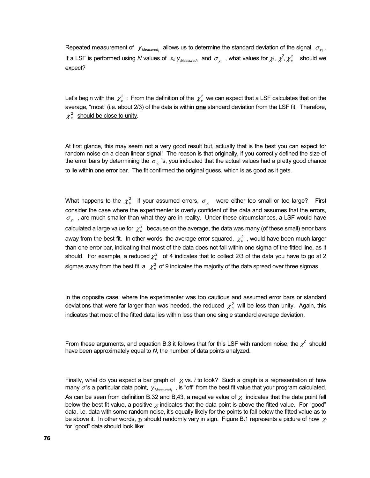Repeated measurement of  $y_{\text{Measured}}$  allows us to determine the standard deviation of the signal,  $\sigma_{y_i}$ . If a LSF is performed using *N* values of  $x_k$ ,  $y_{\text{Measured}}$  and  $\sigma_{y_i}$ , what values for  $\chi_i$ ,  $\chi^2$ ,  $\chi^2_v$  should we expect?

Let's begin with the  $\chi^2_v$ : From the definition of the  $\chi^2_v$  we can expect that a LSF calculates that on the average, "most" (i.e. about 2/3) of the data is within **one** standard deviation from the LSF fit. Therefore,  $\chi_v^2$  should be close to unity.

At first glance, this may seem not a very good result but, actually that is the best you can expect for random noise on a clean linear signal! The reason is that originally, if you correctly defined the size of the error bars by determining the  $\sigma_{v_i}$  's, you indicated that the actual values had a pretty good chance to lie within one error bar. The fit confirmed the original guess, which is as good as it gets.

What happens to the  $\chi^2_{\nu}$  if your assumed errors,  $\sigma_{\nu}$  were either too small or too large? First consider the case where the experimenter is overly confident of the data and assumes that the errors,  $\sigma_{v_i}$ , are much smaller than what they are in reality. Under these circumstances, a LSF would have calculated a large value for  $\chi^2_\nu$  because on the average, the data was many (of these small) error bars away from the best fit. In other words, the average error squared,  $\chi^2$ , would have been much larger than one error bar, indicating that most of the data does not fall within one sigma of the fitted line, as it should. For example, a reduced  $\chi^2_{\nu}$  of 4 indicates that to collect 2/3 of the data you have to go at 2 sigmas away from the best fit, a  $\chi^2$  of 9 indicates the majority of the data spread over three sigmas.

In the opposite case, where the experimenter was too cautious and assumed error bars or standard deviations that were far larger than was needed, the reduced  $\chi^2$  will be less than unity. Again, this indicates that most of the fitted data lies within less than one single standard average deviation.

From these arguments, and equation B.3 it follows that for this LSF with random noise, the  $\chi^2$  should have been approximately equal to *N*, the number of data points analyzed.

Finally, what do you expect a bar graph of  $\chi_i$  vs. *i* to look? Such a graph is a representation of how many  $\sigma$ 's a particular data point,  $y_{\text{Measured}}$ , is "off" from the best fit value that your program calculated. As can be seen from definition B.32 and B,43, a negative value of  $\chi_i$  indicates that the data point fell below the best fit value, a positive  $\chi_i$  indicates that the data point is above the fitted value. For "good" data, i.e. data with some random noise, it's equally likely for the points to fall below the fitted value as to be above it. In other words, <sup>χ</sup>*I* should randomly vary in sign. Figure B.1 represents a picture of how χ*<sup>i</sup>* for "good" data should look like: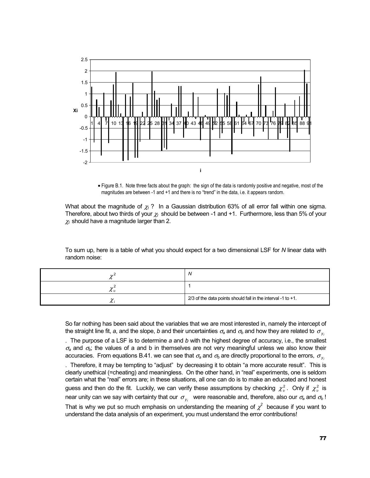

• Figure B.1. Note three facts about the graph: the sign of the data is randomly positive and negative, most of the magnitudes are between -1 and +1 and there is no "trend" in the data, i.e. it appears random.

What about the magnitude of χ*I* ? In a Gaussian distribution 63% of all error fall within one sigma. Therefore, about two thirds of your χ*I* should be between -1 and +1. Furthermore, less than 5% of your  $\chi$ <sub>I</sub> should have a magnitude larger than 2.

To sum up, here is a table of what you should expect for a two dimensional LSF for *N* linear data with random noise:

|        | w                                                              |
|--------|----------------------------------------------------------------|
| / U 1) |                                                                |
|        | $2/3$ of the data points should fall in the interval -1 to +1. |

So far nothing has been said about the variables that we are most interested in, namely the intercept of the straight line fit, a, and the slope, *b* and their uncertainties  $\sigma_a$  and  $\sigma_b$  and how they are related to  $\sigma_{v_i}$ 

. The purpose of a LSF is to determine *a* and *b* with the highest degree of accuracy, i.e., the smallest  $\sigma$ <sub>a</sub> and  $\sigma$ <sub>b</sub>; the values of a and b in themselves are not very meaningful unless we also know their accuracies. From equations B.41. we can see that  $\sigma_a$  and  $\sigma_b$  are directly proportional to the errors,  $\sigma_{v_i}$ 

. Therefore, it may be tempting to "adjust" by decreasing it to obtain "a more accurate result". This is clearly unethical (=cheating) and meaningless. On the other hand, in "real" experiments, one is seldom certain what the "real" errors are; in these situations, all one can do is to make an educated and honest guess and then do the fit. Luckily, we can verify these assumptions by checking  $\chi^2_\nu$ . Only if  $\chi^2_\nu$  is near unity can we say with certainty that our  $\sigma_{y_i}$  were reasonable and, therefore, also our  $\sigma_a$  and  $\sigma_b$ ! That is why we put so much emphasis on understanding the meaning of  $\chi^2$  because if you want to understand the data analysis of an experiment, you must understand the error contributions!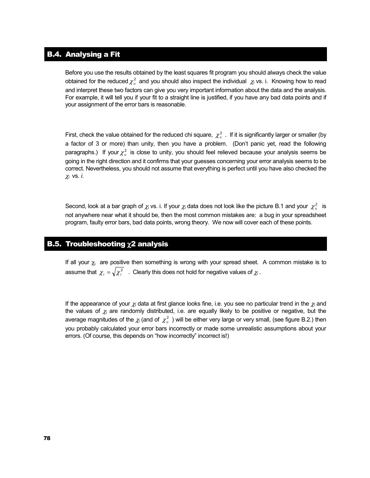# B.4. Analysing a Fit

Before you use the results obtained by the least squares fit program you should always check the value obtained for the reduced  $\chi^2_{\nu}$  and you should also inspect the individual  $\chi_i$  vs. i. Knowing how to read and interpret these two factors can give you very important information about the data and the analysis. For example, it will tell you if your fit to a straight line is justified, if you have any bad data points and if your assignment of the error bars is reasonable.

First, check the value obtained for the reduced chi square,  $\chi^2_{\nu}$ . If it is significantly larger or smaller (by a factor of 3 or more) than unity, then you have a problem. (Don't panic yet, read the following paragraphs.) If your  $\chi^2$  is close to unity, you should feel relieved because your analysis seems be going in the right direction and it confirms that your guesses concerning your error analysis seems to be correct. Nevertheless, you should not assume that everything is perfect until you have also checked the χ*i* vs. *i*.

Second, look at a bar graph of  $\chi_i$  vs. i. If your  $\chi_i$  data does not look like the picture B.1 and your  $\chi^2_\nu$  is not anywhere near what it should be, then the most common mistakes are: a bug in your spreadsheet program, faulty error bars, bad data points, wrong theory. We now will cover each of these points.

# **B.5. Troubleshooting**  $\chi$ **2 analysis**

If all your  $\chi_i$  are positive then something is wrong with your spread sheet. A common mistake is to assume that  $\chi_i = \sqrt{\chi_i^2}$  . Clearly this does not hold for negative values of  $\chi_i$ .

If the appearance of your  $\chi_i$  data at first glance looks fine, i.e. you see no particular trend in the  $\chi_i$  and the values of  $\chi_i$  are randomly distributed, i.e. are equally likely to be positive or negative, but the average magnitudes of the  $\chi_i$  (and of  $\chi^2_v$ ) will be either very large or very small, (see figure B.2.) then you probably calculated your error bars incorrectly or made some unrealistic assumptions about your errors. (Of course, this depends on "how incorrectly" incorrect is!)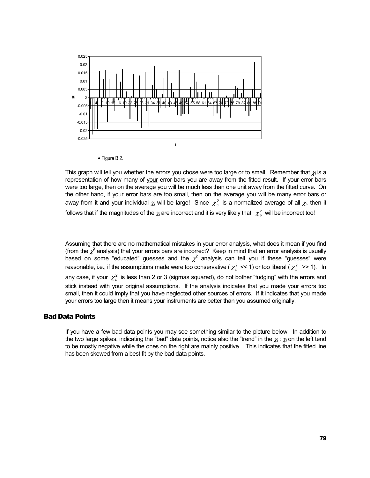

• Figure B.2.

This graph will tell you whether the errors you chose were too large or to small. Remember that  $\chi_i$  is a representation of how many of your error bars you are away from the fitted result. If your error bars were too large, then on the average you will be much less than one unit away from the fitted curve. On the other hand, if your error bars are too small, then on the average you will be many error bars or away from it and your individual  $\chi_i$  will be large! Since  $\chi^2_v$  is a normalized average of all  $\chi_i$ , then it follows that if the magnitudes of the  $\chi_i$  are incorrect and it is very likely that  $\chi^2_\nu$  will be incorrect too!

Assuming that there are no mathematical mistakes in your error analysis, what does it mean if you find (from the  $\chi^2$  analysis) that your errors bars are incorrect? Keep in mind that an error analysis is usually based on some "educated" guesses and the  $\chi^2$  analysis can tell you if these "guesses" were reasonable, i.e., if the assumptions made were too conservative (  $\chi^2_v \ll 1$ ) or too liberal ( $\chi^2_v \gg 1$ ). In any case, if your  $\chi^2_v$  is less than 2 or 3 (sigmas squared), do not bother "fudging" with the errors and stick instead with your original assumptions. If the analysis indicates that you made your errors too small, then it could imply that you have neglected other sources of errors. If it indicates that you made your errors too large then it means your instruments are better than you assumed originally.

#### Bad Data Points

If you have a few bad data points you may see something similar to the picture below. In addition to the two large spikes, indicating the "bad" data points, notice also the "trend" in the  $\chi_i$ :  $\chi_i$  on the left tend to be mostly negative while the ones on the right are mainly positive. This indicates that the fitted line has been skewed from a best fit by the bad data points.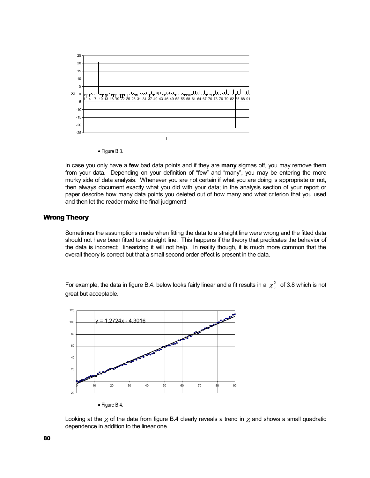

• Figure B.3.

In case you only have a **few** bad data points and if they are **many** sigmas off, you may remove them from your data. Depending on your definition of "few" and "many", you may be entering the more murky side of data analysis. Whenever you are not certain if what you are doing is appropriate or not, then always document exactly what you did with your data; in the analysis section of your report or paper describe how many data points you deleted out of how many and what criterion that you used and then let the reader make the final judgment!

#### Wrong Theory

Sometimes the assumptions made when fitting the data to a straight line were wrong and the fitted data should not have been fitted to a straight line. This happens if the theory that predicates the behavior of the data is incorrect; linearizing it will not help. In reality though, it is much more common that the overall theory is correct but that a small second order effect is present in the data.

For example, the data in figure B.4. below looks fairly linear and a fit results in a  $\chi^2_v$  of 3.8 which is not great but acceptable.



Looking at the  $\chi_i$  of the data from figure B.4 clearly reveals a trend in  $\chi_i$  and shows a small quadratic dependence in addition to the linear one.